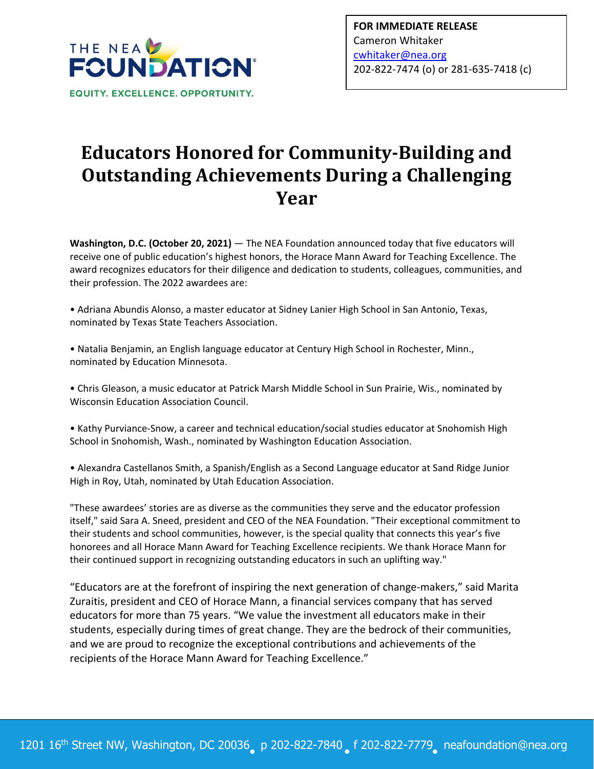

## **Educators Honored for Community‐Building and Outstanding Achievements During a Challenging Year**

**Washington, D.C. (October 20, 2021)** — The NEA Foundation announced today that five educators will receive one of public education's highest honors, the Horace Mann Award for Teaching Excellence. The award recognizes educators for their diligence and dedication to students, colleagues, communities, and their profession. The 2022 awardees are:

• Adriana Abundis Alonso, a master educator at Sidney Lanier High School in San Antonio, Texas, nominated by Texas State Teachers Association.

• Natalia Benjamin, an English language educator at Century High School in Rochester, Minn., nominated by Education Minnesota.

• Chris Gleason, a music educator at Patrick Marsh Middle School in Sun Prairie, Wis., nominated by Wisconsin Education Association Council.

• Kathy Purviance‐Snow, a career and technical education/social studies educator at Snohomish High School in Snohomish, Wash., nominated by Washington Education Association.

• Alexandra Castellanos Smith, a Spanish/English as a Second Language educator at Sand Ridge Junior High in Roy, Utah, nominated by Utah Education Association.

"These awardees' stories are as diverse as the communities they serve and the educator profession itself," said Sara A. Sneed, president and CEO of the NEA Foundation. "Their exceptional commitment to their students and school communities, however, is the special quality that connects this year's five honorees and all Horace Mann Award for Teaching Excellence recipients. We thank Horace Mann for their continued support in recognizing outstanding educators in such an uplifting way."

"Educators are at the forefront of inspiring the next generation of change‐makers," said Marita Zuraitis, president and CEO of Horace Mann, a financial services company that has served educators for more than 75 years. "We value the investment all educators make in their students, especially during times of great change. They are the bedrock of their communities, and we are proud to recognize the exceptional contributions and achievements of the recipients of the Horace Mann Award for Teaching Excellence."